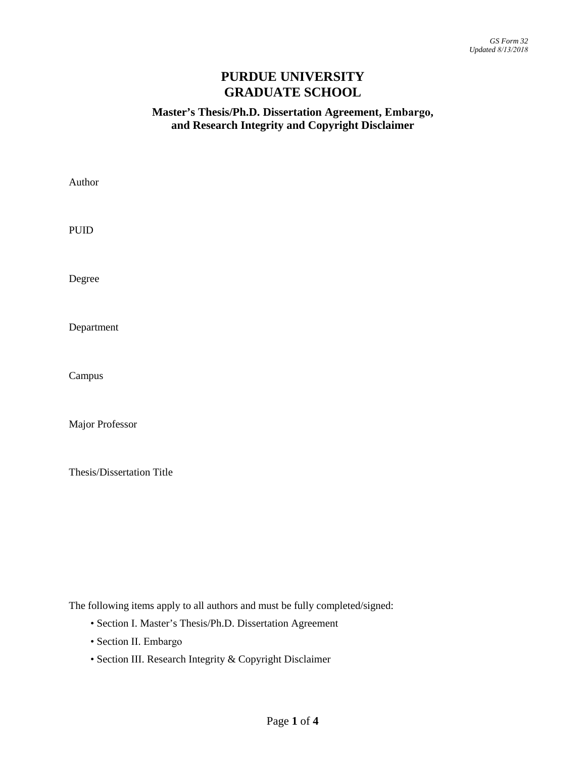# **PURDUE UNIVERSITY GRADUATE SCHOOL**

## **Master's Thesis/Ph.D. Dissertation Agreement, Embargo, and Research Integrity and Copyright Disclaimer**

| Author                    |  |  |
|---------------------------|--|--|
| <b>PUID</b>               |  |  |
| Degree                    |  |  |
| Department                |  |  |
| Campus                    |  |  |
| Major Professor           |  |  |
| Thesis/Dissertation Title |  |  |

The following items apply to all authors and must be fully completed/signed:

- Section I. Master's Thesis/Ph.D. Dissertation Agreement
- Section II. Embargo
- Section III. Research Integrity & Copyright Disclaimer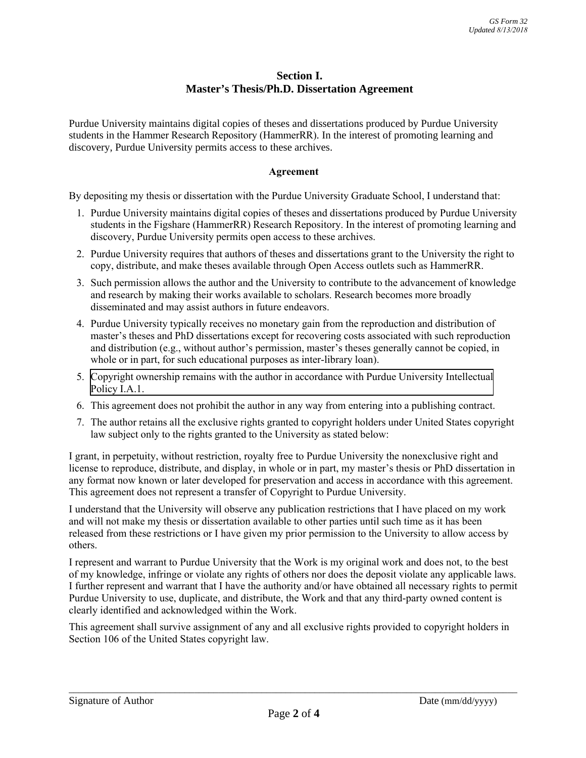### **Section I. Master's Thesis/Ph.D. Dissertation Agreement**

Purdue University maintains digital copies of theses and dissertations produced by Purdue University students in the Hammer Research Repository (HammerRR). In the interest of promoting learning and discovery, Purdue University permits access to these archives.

#### **Agreement**

By depositing my thesis or dissertation with the Purdue University Graduate School, I understand that:

- 1. Purdue University maintains digital copies of theses and dissertations produced by Purdue University students in the Figshare (HammerRR) Research Repository. In the interest of promoting learning and discovery, Purdue University permits open access to these archives.
- 2. Purdue University requires that authors of theses and dissertations grant to the University the right to copy, distribute, and make theses available through Open Access outlets such as HammerRR.
- 3. Such permission allows the author and the University to contribute to the advancement of knowledge and research by making their works available to scholars. Research becomes more broadly disseminated and may assist authors in future endeavors.
- 4. Purdue University typically receives no monetary gain from the reproduction and distribution of master's theses and PhD dissertations except for recovering costs associated with such reproduction and distribution (e.g., without author's permission, master's theses generally cannot be copied, in whole or in part, for such educational purposes as inter-library loan).
- 5. Copyright ownership remains with the author in accordance with Purdue University Intellectual Policy I.A.1.
- 6. This agreement does not prohibit the author in any way from entering into a publishing contract.
- 7. The author retains all the exclusive rights granted to copyright holders under United States copyright law subject only to the rights granted to the University as stated below:

I grant, in perpetuity, without restriction, royalty free to Purdue University the nonexclusive right and license to reproduce, distribute, and display, in whole or in part, my master's thesis or PhD dissertation in any format now known or later developed for preservation and access in accordance with this agreement. This agreement does not represent a transfer of Copyright to Purdue University.

I understand that the University will observe any publication restrictions that I have placed on my work and will not make my thesis or dissertation available to other parties until such time as it has been released from these restrictions or I have given my prior permission to the University to allow access by others.

I represent and warrant to Purdue University that the Work is my original work and does not, to the best of my knowledge, infringe or violate any rights of others nor does the deposit violate any applicable laws. I further represent and warrant that I have the authority and/or have obtained all necessary rights to permit Purdue University to use, duplicate, and distribute, the Work and that any third-party owned content is clearly identified and acknowledged within the Work.

This agreement shall survive assignment of any and all exclusive rights provided to copyright holders in Section 106 of the United States copyright law.

\_\_\_\_\_\_\_\_\_\_\_\_\_\_\_\_\_\_\_\_\_\_\_\_\_\_\_\_\_\_\_\_\_\_\_\_\_\_\_\_\_\_\_\_\_\_\_\_\_\_\_\_\_\_\_\_\_\_\_\_\_\_\_\_\_\_\_\_\_\_\_\_\_\_\_\_\_\_\_\_\_\_\_\_\_\_\_\_\_\_\_\_\_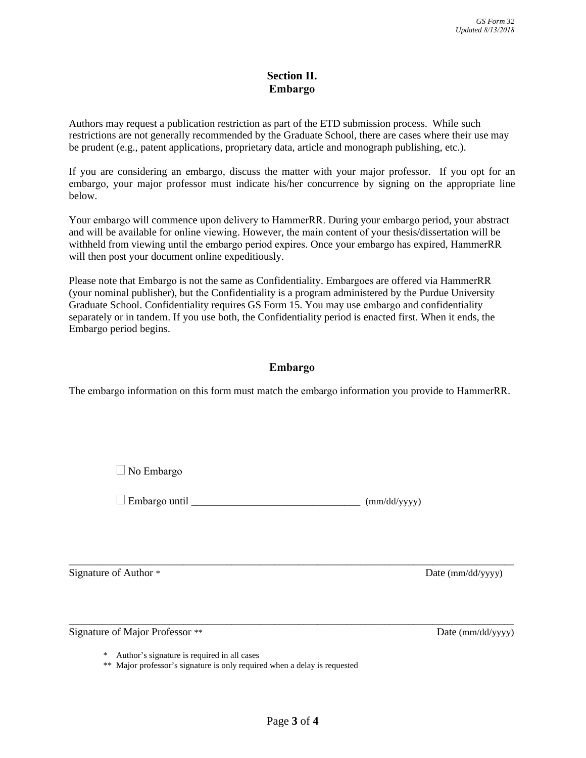## **Section II. Embargo**

Authors may request a publication restriction as part of the ETD submission process. While such restrictions are not generally recommended by the Graduate School, there are cases where their use may be prudent (e.g., patent applications, proprietary data, article and monograph publishing, etc.).

If you are considering an embargo, discuss the matter with your major professor. If you opt for an embargo, your major professor must indicate his/her concurrence by signing on the appropriate line below.

Your embargo will commence upon delivery to HammerRR. During your embargo period, your abstract and will be available for online viewing. However, the main content of your thesis/dissertation will be withheld from viewing until the embargo period expires. Once your embargo has expired, HammerRR will then post your document online expeditiously.

Please note that Embargo is not the same as Confidentiality. Embargoes are offered via HammerRR (your nominal publisher), but the Confidentiality is a program administered by the Purdue University Graduate School. Confidentiality requires GS Form 15. You may use embargo and confidentiality separately or in tandem. If you use both, the Confidentiality period is enacted first. When it ends, the Embargo period begins.

## **Embargo**

The embargo information on this form must match the embargo information you provide to HammerRR.

■ No Embargo

 $\Box$  Embargo until  $\Box$ 

Signature of Author \* Date (mm/dd/yyyy)

Signature of Major Professor \*\* Date (mm/dd/yyyy)

\* Author's signature is required in all cases

\*\* Major professor's signature is only required when a delay is requested

\_\_\_\_\_\_\_\_\_\_\_\_\_\_\_\_\_\_\_\_\_\_\_\_\_\_\_\_\_\_\_\_\_\_\_\_\_\_\_\_\_\_\_\_\_\_\_\_\_\_\_\_\_\_\_\_\_\_\_\_\_\_\_\_\_\_\_\_\_\_\_\_\_\_\_\_\_\_\_\_\_\_\_\_\_\_\_\_\_\_\_\_\_

\_\_\_\_\_\_\_\_\_\_\_\_\_\_\_\_\_\_\_\_\_\_\_\_\_\_\_\_\_\_\_\_\_\_\_\_\_\_\_\_\_\_\_\_\_\_\_\_\_\_\_\_\_\_\_\_\_\_\_\_\_\_\_\_\_\_\_\_\_\_\_\_\_\_\_\_\_\_\_\_\_\_\_\_\_\_\_\_\_\_\_\_\_